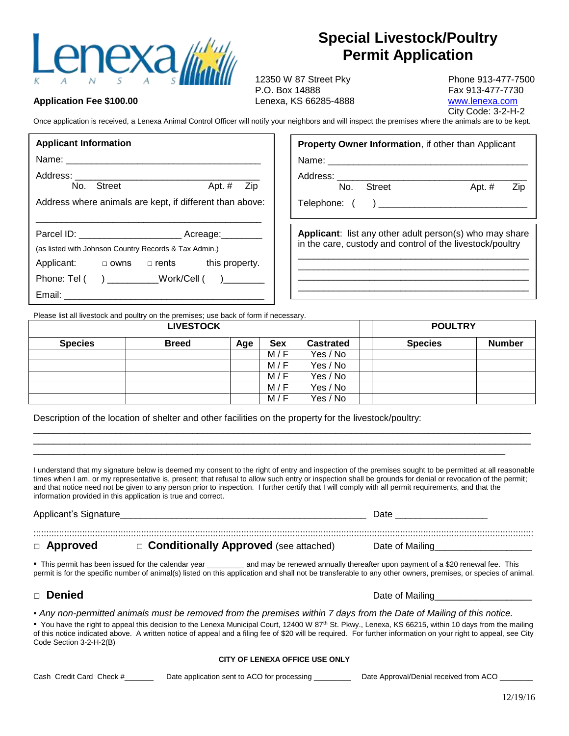

**Application Fee \$100.00**

## **Special Livestock/Poultry Permit Application**

12350 W 87 Street Pky Phone 913-477-7500 P.O. Box 14888 Fax 913-477-7730 Lenexa, KS 66285-4888 [www.lenexa.com](http://www.lenexa.com/)

City Code: 3-2-H-2

Once application is received, a Lenexa Animal Control Officer will notify your neighbors and will inspect the premises where the animals are to be kept.

| <b>Applicant Information</b>                                                                                                                                                                                                                                                    | <b>Property Owner Information, if other than Applicant</b>                                                           |  |  |  |  |  |
|---------------------------------------------------------------------------------------------------------------------------------------------------------------------------------------------------------------------------------------------------------------------------------|----------------------------------------------------------------------------------------------------------------------|--|--|--|--|--|
|                                                                                                                                                                                                                                                                                 | Name: Name:                                                                                                          |  |  |  |  |  |
| No. Street<br>Apt. $#$<br>Zip                                                                                                                                                                                                                                                   | Street<br>Apt. $#$<br>No.<br>Zip                                                                                     |  |  |  |  |  |
| Address where animals are kept, if different than above:                                                                                                                                                                                                                        |                                                                                                                      |  |  |  |  |  |
| (as listed with Johnson Country Records & Tax Admin.)<br>Applicant: $\Box$ owns $\Box$ rents this property.<br>Phone: Tel ( ) ___________Work/Cell ( ) _______<br>Email: 2008 2009 2010 2021 2022 2023 2024 2022 2022 2023 2024 2022 2023 2024 2022 2023 2024 2022 2023 2024 20 | Applicant: list any other adult person(s) who may share<br>in the care, custody and control of the livestock/poultry |  |  |  |  |  |

Please list all livestock and poultry on the premises; use back of form if necessary.

| <b>LIVESTOCK</b> |              |     | <b>POULTRY</b> |                  |                |               |
|------------------|--------------|-----|----------------|------------------|----------------|---------------|
| <b>Species</b>   | <b>Breed</b> | Age | <b>Sex</b>     | <b>Castrated</b> | <b>Species</b> | <b>Number</b> |
|                  |              |     | M/F            | Yes / No         |                |               |
|                  |              |     | M/F            | Yes / No         |                |               |
|                  |              |     | M/F            | Yes / No         |                |               |
|                  |              |     | M/F            | Yes / No         |                |               |
|                  |              |     | M/F            | Yes / No         |                |               |

Description of the location of shelter and other facilities on the property for the livestock/poultry:

I understand that my signature below is deemed my consent to the right of entry and inspection of the premises sought to be permitted at all reasonable times when I am, or my representative is, present; that refusal to allow such entry or inspection shall be grounds for denial or revocation of the permit; and that notice need not be given to any person prior to inspection. I further certify that I will comply with all permit requirements, and that the information provided in this application is true and correct.

\_\_\_\_\_\_\_\_\_\_\_\_\_\_\_\_\_\_\_\_\_\_\_\_\_\_\_\_\_\_\_\_\_\_\_\_\_\_\_\_\_\_\_\_\_\_\_\_\_\_\_\_\_\_\_\_\_\_\_\_\_\_\_\_\_\_\_\_\_\_\_\_\_\_\_\_\_\_\_\_\_\_\_\_\_\_\_\_\_\_\_\_\_\_\_\_\_  $\_$  ,  $\_$  ,  $\_$  ,  $\_$  ,  $\_$  ,  $\_$  ,  $\_$  ,  $\_$  ,  $\_$  ,  $\_$  ,  $\_$  ,  $\_$  ,  $\_$  ,  $\_$  ,  $\_$  ,  $\_$  ,  $\_$  ,  $\_$  ,  $\_$  ,  $\_$  ,  $\_$  ,  $\_$  ,  $\_$  ,  $\_$  ,  $\_$  ,  $\_$  ,  $\_$  ,  $\_$  ,  $\_$  ,  $\_$  ,  $\_$  ,  $\_$  ,  $\_$  ,  $\_$  ,  $\_$  ,  $\_$  ,  $\_$  , \_\_\_\_\_\_\_\_\_\_\_\_\_\_\_\_\_\_\_\_\_\_\_\_\_\_\_\_\_\_\_\_\_\_\_\_\_\_\_\_\_\_\_\_\_\_\_\_\_\_\_\_\_\_\_\_\_\_\_\_\_\_\_\_\_\_\_\_\_\_\_\_\_\_\_\_\_\_\_\_\_\_\_\_\_\_\_\_\_\_\_\_

Applicant's Signature et al. Annual state of the state of the state of the state of the state of the state of the state of the state of the state of the state of the state of the state of the state of the state of the stat ::::::::::::::::::::::::::::::::::::::::::::::::::::::::::::::::::::::::::::::::::::::::::::::::::::::::::::::::::::::::::::::::::::::::::::::::::::::::::::::::::::::::::::::::::::::::::::::::::: □ **Approved** □ **Conditionally Approved** (see attached) Date of Mailing

*▪* This permit has been issued for the calendar year \_\_\_\_\_\_\_\_\_ and may be renewed annually thereafter upon payment of a \$20 renewal fee. This permit is for the specific number of animal(s) listed on this application and shall not be transferable to any other owners, premises, or species of animal.

## □ **Denied** Date of Mailing\_\_\_\_\_\_\_\_\_\_\_\_\_\_\_\_\_\_\_

*▪ Any non-permitted animals must be removed from the premises within 7 days from the Date of Mailing of this notice.* • You have the right to appeal this decision to the Lenexa Municipal Court, 12400 W 87<sup>th</sup> St. Pkwy., Lenexa, KS 66215, within 10 days from the mailing of this notice indicated above. A written notice of appeal and a filing fee of \$20 will be required. For further information on your right to appeal, see City Code Section 3-2-H-2(B)

## **CITY OF LENEXA OFFICE USE ONLY**

| Cash Credit Card Check #<br>Date application sent to ACO for processing | Date Approval/Denial received from ACO |
|-------------------------------------------------------------------------|----------------------------------------|
|-------------------------------------------------------------------------|----------------------------------------|